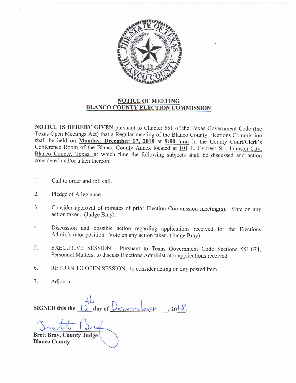

## NOTICE OF MEETING BLANCO COUNTY ELECTION COMMISSION

NOTICE IS HEREBY GIVEN pursuant to Chapter 551 of the Texas Government Code (the Texas Open Meetings Act) that a Regular meeting of the Blanco County Elections Commission shall be held on Monday, December 17, 2018 at  $9:00$  a.m. in the County Court/Clerk's Conference Room of the Blanco County Annex located at 101 E. Cypress St., Johnson City, Blanco County. Texas. at which time the following subjects shall be discussed and action considered and/or taken thereon:

- 1 Call to order and roll call.
- Pledge of Allegiance. 2.
- Consider approval of minutes of prior Election Commission meeting(s). Vote on any action taken. (Judge Bray). a J.
- Discussion and possible action regarding applications received for the Elections Administrator position. Vote on any action taken. (Judge Bray) 4.
- EXECUTIVE SESSION: Pursuant to Texas Government Code Sections 551.074, Personnel Matters, to discuss Elections Administrator applications received. 5.
- RETURN TO OPEN SESSION: to consider acting on any posted item. 6.
- Adjourn. 7.

SIGNED this the  $\frac{1}{2}$  day of December

Brett Bray, County Judge Blanco County